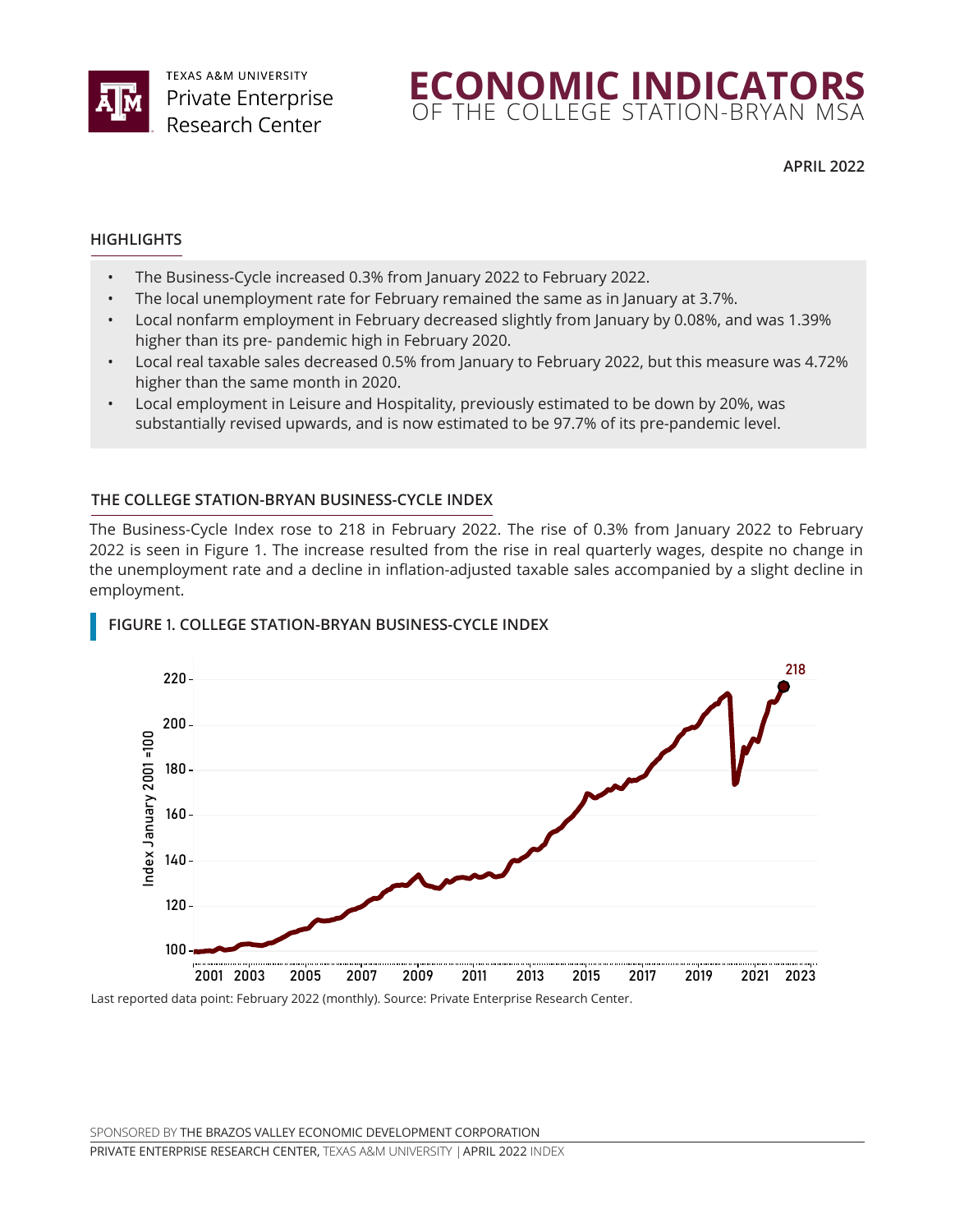



**APRIL 2022**

#### **HIGHLIGHTS**

- The Business-Cycle increased 0.3% from January 2022 to February 2022.
- The local unemployment rate for February remained the same as in January at 3.7%.
- Local nonfarm employment in February decreased slightly from January by 0.08%, and was 1.39% higher than its pre- pandemic high in February 2020.
- Local real taxable sales decreased 0.5% from January to February 2022, but this measure was 4.72% higher than the same month in 2020.
- Local employment in Leisure and Hospitality, previously estimated to be down by 20%, was substantially revised upwards, and is now estimated to be 97.7% of its pre-pandemic level.

#### **THE COLLEGE STATION-BRYAN BUSINESS-CYCLE INDEX**

The Business-Cycle Index rose to 218 in February 2022. The rise of 0.3% from January 2022 to February 2022 is seen in Figure 1. The increase resulted from the rise in real quarterly wages, despite no change in the unemployment rate and a decline in inflation-adjusted taxable sales accompanied by a slight decline in employment.



# **FIGURE** 1**. COLLEGE STATION-BRYAN BUSINESS-CYCLE INDEX** College Station-Bryan Business-Cycle Index

Last reported data point: February 2022 (monthly). Source: Private Enterprise Research Center. Last reported data point: February 2022 (monthly).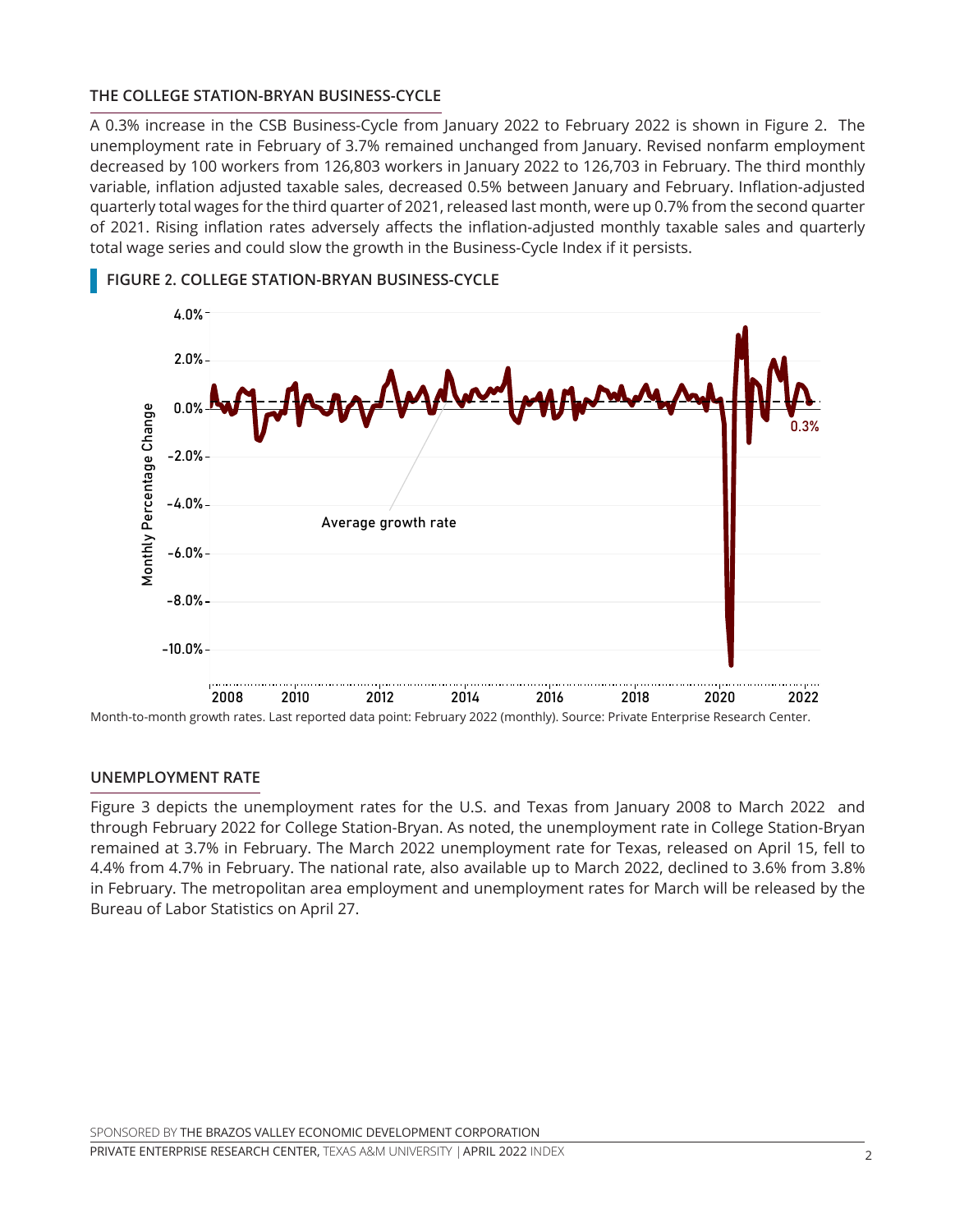#### **THE COLLEGE STATION-BRYAN BUSINESS-CYCLE**

A 0.3% increase in the CSB Business-Cycle from January 2022 to February 2022 is shown in Figure 2. The unemployment rate in February of 3.7% remained unchanged from January. Revised nonfarm employment decreased by 100 workers from 126,803 workers in January 2022 to 126,703 in February. The third monthly variable, inflation adjusted taxable sales, decreased 0.5% between January and February. Inflation-adjusted quarterly total wages for the third quarter of 2021, released last month, were up 0.7% from the second quarter of 2021. Rising inflation rates adversely affects the inflation-adjusted monthly taxable sales and quarterly total wage series and could slow the growth in the Business-Cycle Index if it persists.



## **FIGURE** 2**. COLLEGE STATION-BRYAN BUSINESS-CYCLE** College Station-Bryan Business-Cycle

#### **UNEMPLOYMENT RATE**

Figure 3 depicts the unemployment rates for the U.S. and Texas from January 2008 to March 2022 and through February 2022 for College Station-Bryan. As noted, the unemployment rate in College Station-Bryan remained at 3.7% in February. The March 2022 unemployment rate for Texas, released on April 15, fell to 4.4% from 4.7% in February. The national rate, also available up to March 2022, declined to 3.6% from 3.8% in February. The metropolitan area employment and unemployment rates for March will be released by the Bureau of Labor Statistics on April 27.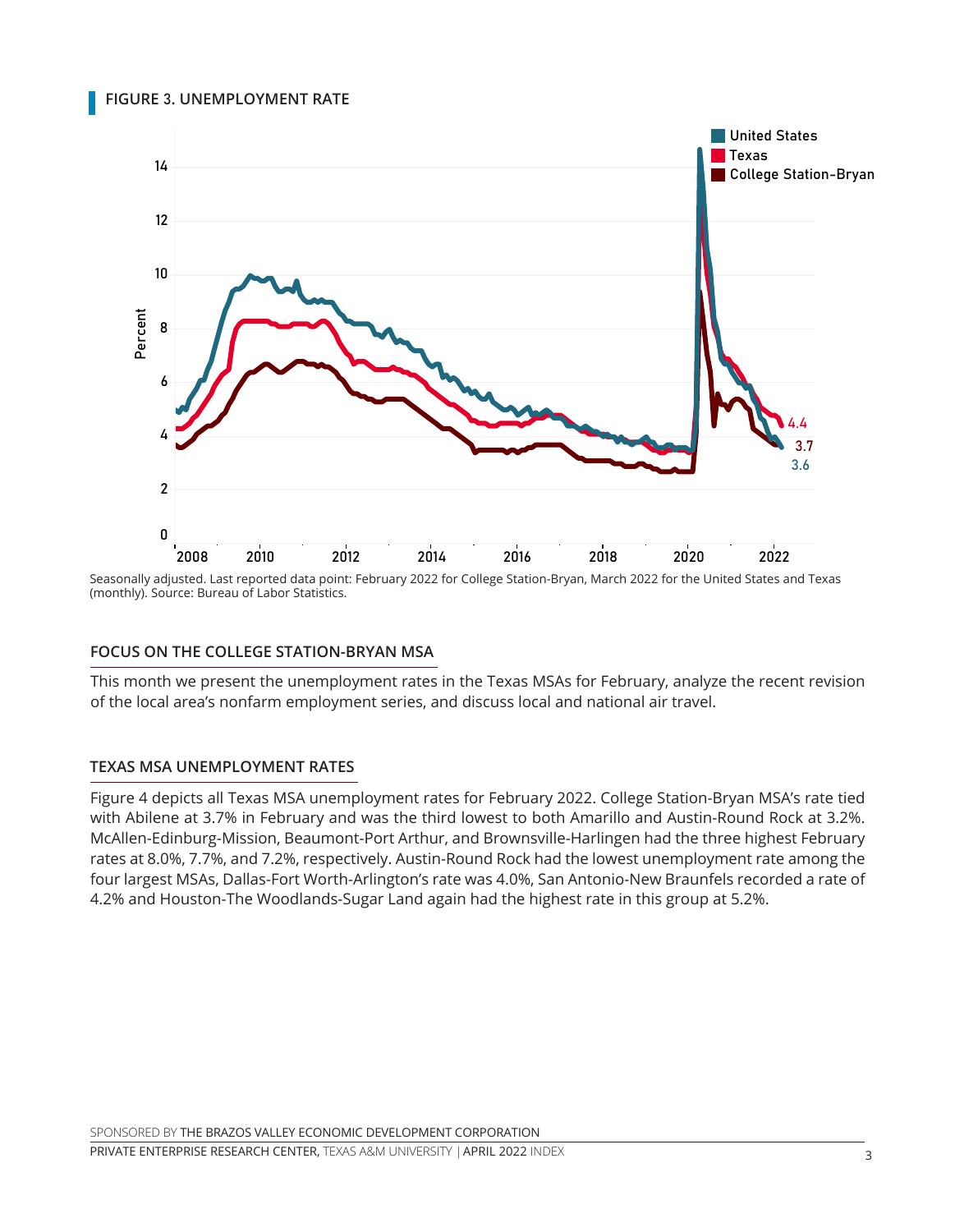**FIGURE** 3**. UNEMPLOYMENT RATE** Unemployment Rate



Seasonally adjusted. Last reported data point: February 2022 for College Station-Bryan, March 2022 for the United States and Texas<br>(monthly), Source: Bureau of Labor Statistics (monthly). Source: Bureau of Labor Statistics.  $\mathcal{L}$ 

#### **FOCUS ON THE COLLEGE STATION-BRYAN MSA**

This month we present the unemployment rates in the Texas MSAs for February, analyze the recent revision of the local area's nonfarm employment series, and discuss local and national air travel.

#### **TEXAS MSA UNEMPLOYMENT RATES**

Figure 4 depicts all Texas MSA unemployment rates for February 2022. College Station-Bryan MSA's rate tied with Abilene at 3.7% in February and was the third lowest to both Amarillo and Austin-Round Rock at 3.2%. McAllen-Edinburg-Mission, Beaumont-Port Arthur, and Brownsville-Harlingen had the three highest February rates at 8.0%, 7.7%, and 7.2%, respectively. Austin-Round Rock had the lowest unemployment rate among the four largest MSAs, Dallas-Fort Worth-Arlington's rate was 4.0%, San Antonio-New Braunfels recorded a rate of 4.2% and Houston-The Woodlands-Sugar Land again had the highest rate in this group at 5.2%.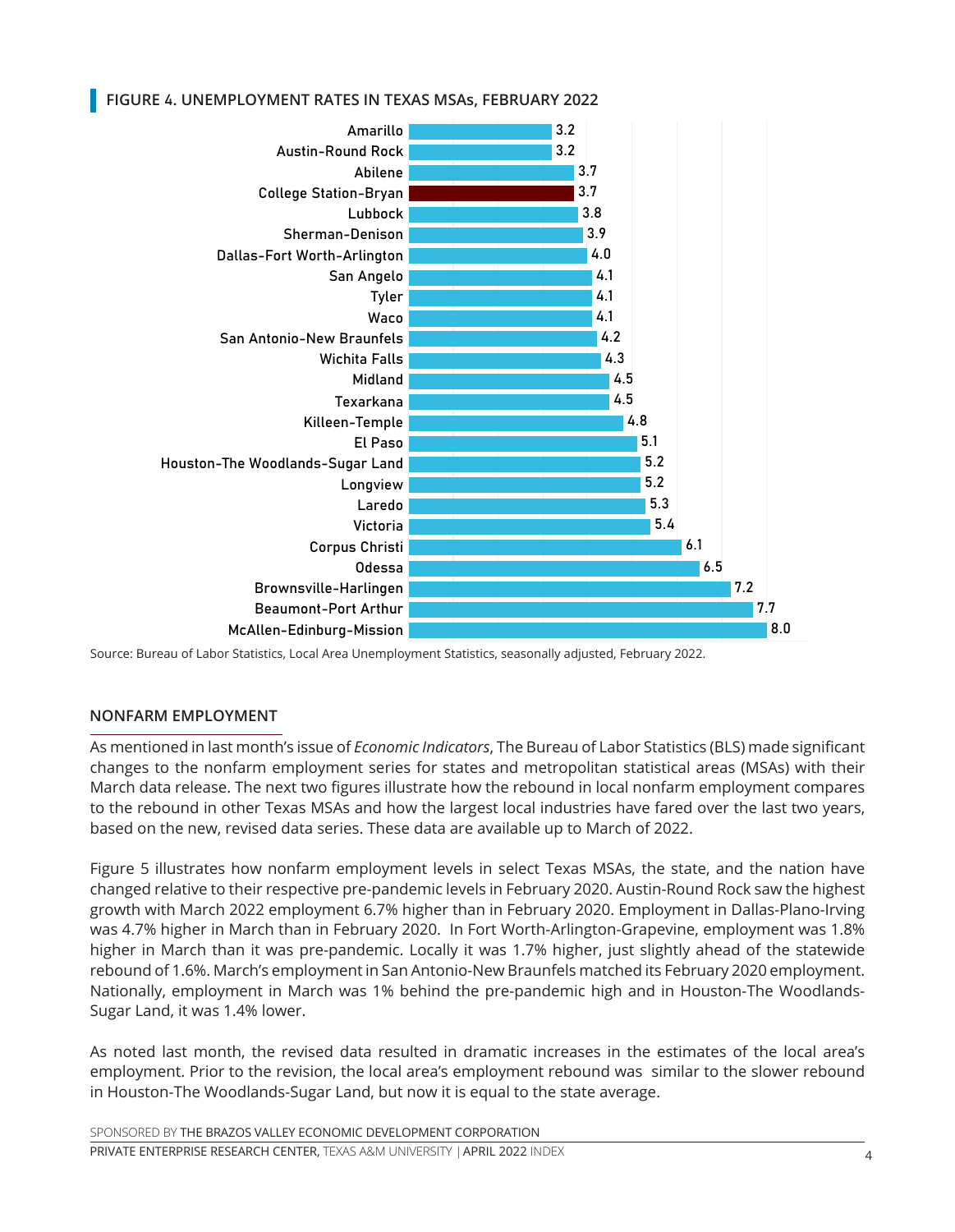FIGURE 4. UNEMPLOYMENT RATES IN TEXAS MSAs, FEBRUARY 2022



Source: Bureau of Labor Statistics, Local Area Unemployment Statistics, seasonally adjusted, February 2022.

#### **NONFARM EMPLOYMENT**

As mentioned in last month's issue of *Economic Indicators*, The Bureau of Labor Statistics (BLS) made significant changes to the nonfarm employment series for states and metropolitan statistical areas (MSAs) with their March data release. The next two figures illustrate how the rebound in local nonfarm employment compares to the rebound in other Texas MSAs and how the largest local industries have fared over the last two years, based on the new, revised data series. These data are available up to March of 2022.

Figure 5 illustrates how nonfarm employment levels in select Texas MSAs, the state, and the nation have changed relative to their respective pre-pandemic levels in February 2020. Austin-Round Rock saw the highest growth with March 2022 employment 6.7% higher than in February 2020. Employment in Dallas-Plano-Irving was 4.7% higher in March than in February 2020. In Fort Worth-Arlington-Grapevine, employment was 1.8% higher in March than it was pre-pandemic. Locally it was 1.7% higher, just slightly ahead of the statewide rebound of 1.6%. March's employment in San Antonio-New Braunfels matched its February 2020 employment. Nationally, employment in March was 1% behind the pre-pandemic high and in Houston-The Woodlands-Sugar Land, it was 1.4% lower.

As noted last month, the revised data resulted in dramatic increases in the estimates of the local area's employment. Prior to the revision, the local area's employment rebound was similar to the slower rebound in Houston-The Woodlands-Sugar Land, but now it is equal to the state average.

SPONSORED BY THE BRAZOS VALLEY ECONOMIC DEVELOPMENT CORPORATION

PRIVATE ENTERPRISE RESEARCH CENTER, TEXAS A&M UNIVERSITY | 4 APRIL 2022 INDEX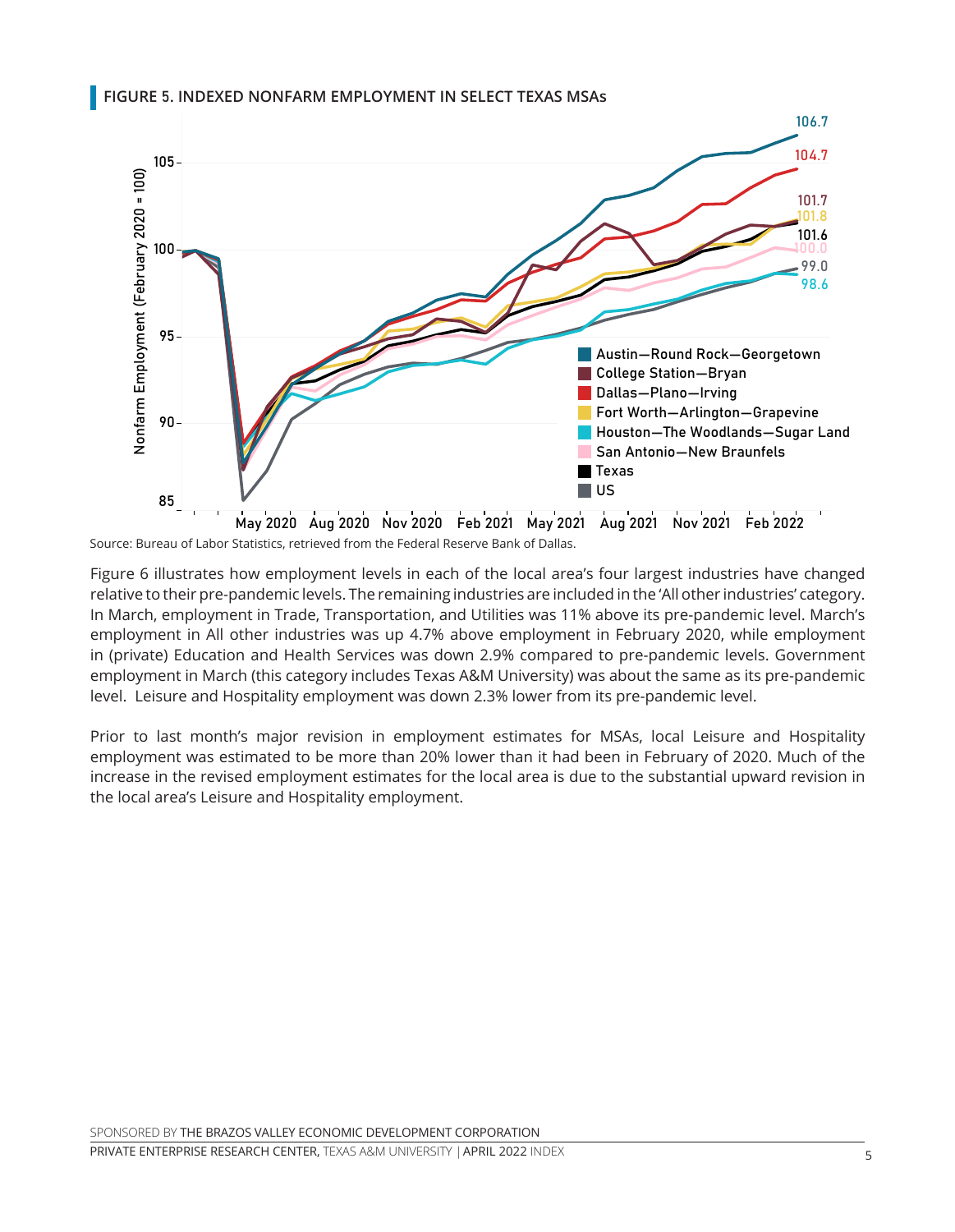### **FIGURE** 5**. INDEXED NONFARM EMPLOYMENT IN SELECT TEXAS MSAs** Indexed Nonfarm Employment in Selected Texas MSAs 95



Source: Bureau of Labor Statistics, retrieved from the Federal Reserve Bank of Dallas.

Figure 6 illustrates how employment levels in each of the local area's four largest industries have changed rigare o mastrates now employment revels in each or the local area's four largest maastries have enanged<br>relative to their pre-pandemic levels. The remaining industries are included in the 'All other industries' category. relative to their pre-pandemic levels. The remaining industries are included in the Alrother mudstries category.<br>In March, employment in Trade, Transportation, and Utilities was 11% above its pre-pandemic level. March's employment in All other industries was up 4.7% above employment in February 2020, while employment in (private) Education and Health Services was down 2.9% compared to pre-pandemic levels. Government employment in March (this category includes Texas A&M University) was about the same as its pre-pandemic level. Leisure and Hospitality employment was down 2.3% lower from its pre-pandemic level. , employment in me

Prior to last month's major revision in employment estimates for MSAs, local Leisure and Hospitality employment was estimated to be more than 20% lower than it had been in February of 2020. Much of the increase in the revised employment estimates for the local area is due to the substantial upward revision in the local area's Leisure and Hospitality employment.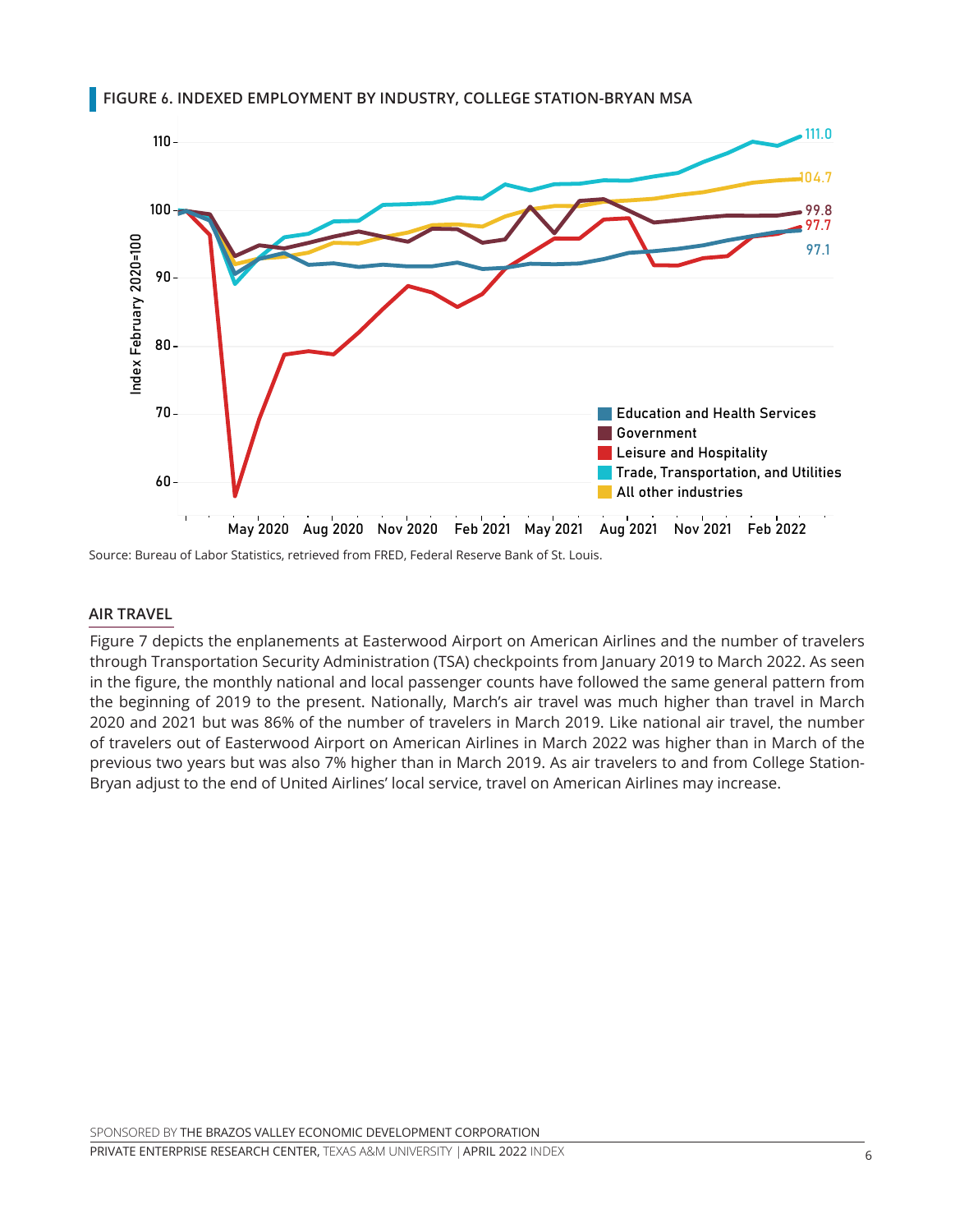

#### **FIGURE** 6**. INDEXED EMPLOYMENT BY INDUSTRY, COLLEGE STATION-BRYAN MSA** Indexed Employment By Industry in College Station-Bryan MSA

Source: Bureau of Labor Statistics, retrieved from FRED, Federal Reserve Bank of St. Louis.

#### **AIR TRAVEL**

Figure 7 depicts the enplanements at Easterwood Airport on American Airlines and the number of travelers through Transportation Security Administration (TSA) checkpoints from January 2019 to March 2022. As seen in the figure, the monthly national and local passenger counts have followed the same general pattern from the beginning of 2019 to the present. Nationally, March's air travel was much higher than travel in March 2020 and 2021 but was 86% of the number of travelers in March 2019. Like national air travel, the number of travelers out of Easterwood Airport on American Airlines in March 2022 was higher than in March of the previous two years but was also 7% higher than in March 2019. As air travelers to and from College Station-Bryan adjust to the end of United Airlines' local service, travel on American Airlines may increase.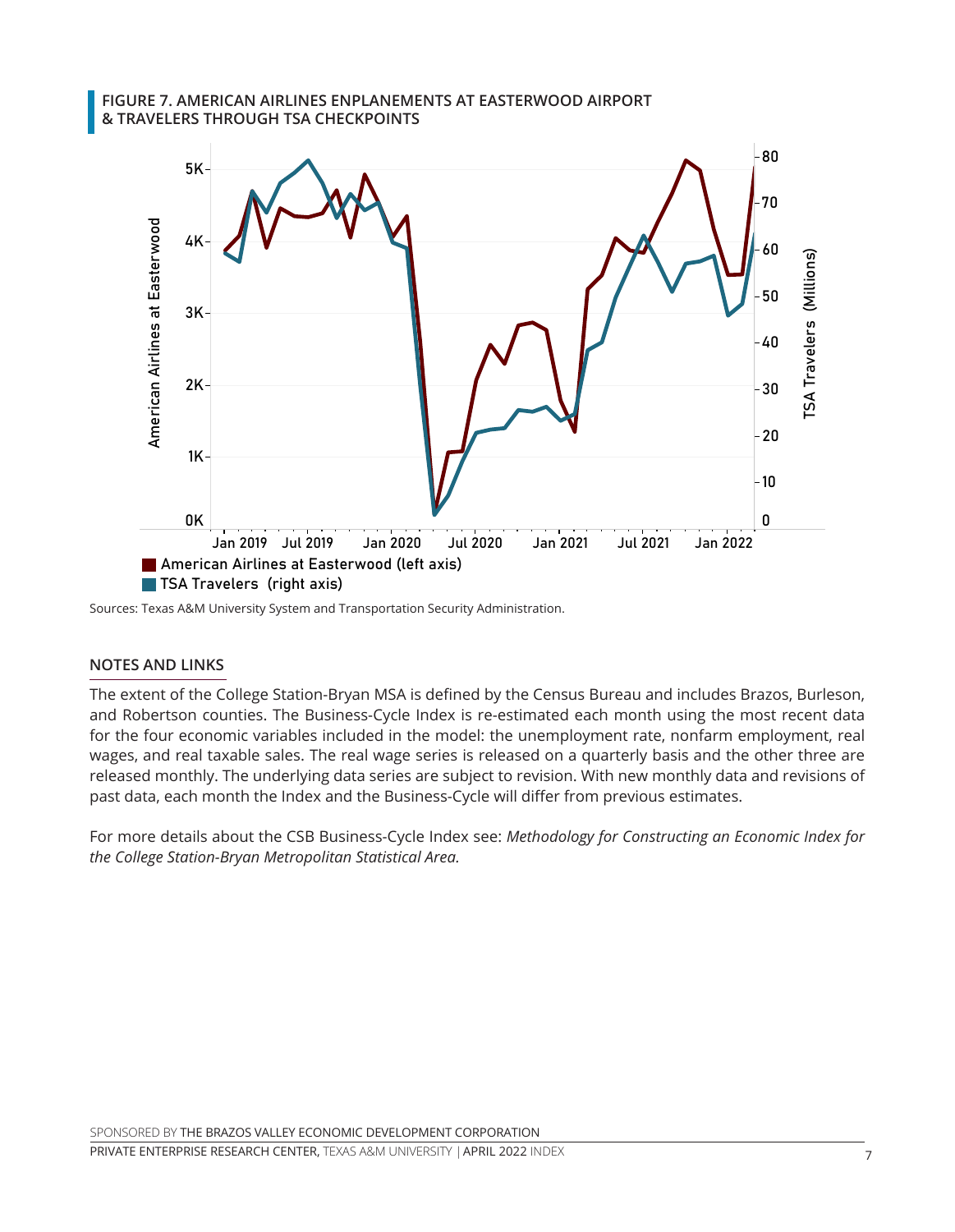#### FIGURE 7. AMERICAN AIRLINES ENPLANEMENTS AT EASTERWOOD AIRPORT **& TRAVELERS THROUGH TSA CHECKPOINTS** Travelers through TSA Checkpoints (E /, AMERICAN AIRLINES ENPLANEMENTS A<br>VELEDS THROUGH TSA CHECKROINTS



المسوعة المسوعة المسوعة المسوعة المسوعة المسوعة المسوعة Sources: Texas A&M University System and Transportation

#### **NOTES AND LINKS**

The extent of the College Station-Bryan MSA is defined by the Census Bureau and includes Brazos, Burleson, and Robertson counties. The Business-Cycle Index is re-estimated each month using the most recent data for the four economic variables included in the model: the unemployment rate, nonfarm employment, real wages, and real taxable sales. The real wage series is released on a quarterly basis and the other three are released monthly. The underlying data series are subject to revision. With new monthly data and revisions of past data, each month the Index and the Business-Cycle will differ from previous estimates.

For more details about the CSB Business-Cycle Index see: *Methodology for Constructing an Economic Index for the College Station-Bryan Metropolitan Statistical Area.*